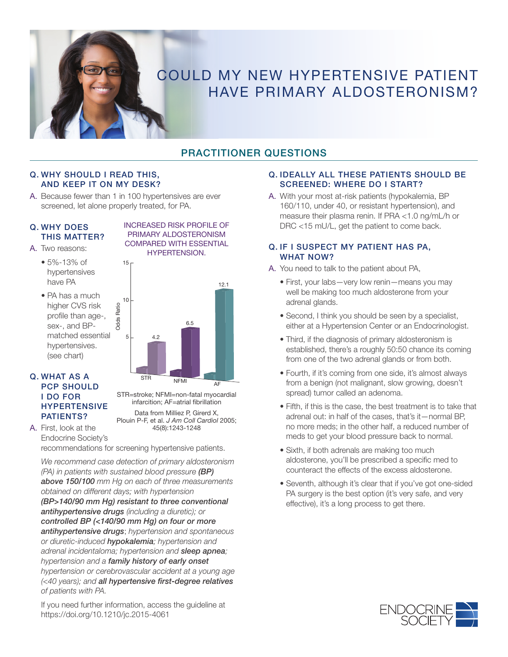

# COULD MY NEW HYPERTENSIVE PATIENT HAVE PRIMARY ALDOSTERONISM?

## PRACTITIONER QUESTIONS

#### Q. WHY SHOULD I READ THIS, AND KEEP IT ON MY DESK?

A. Because fewer than 1 in 100 hypertensives are ever screened, let alone properly treated, for PA.

15

Odds Ratio

Ratio Odds

#### Q. WHY DOES THIS MATTER?

- A. Two reasons:
	- 5%-13% of hypertensives have PA
	- PA has a much higher CVS risk profile than age-, sex-, and BPmatched essential hypertensives. (see chart)



INCREASED RISK PROFILE OF PRIMARY ALDOSTERONISM COMPARED WITH ESSENTIAL HYPERTENSION.



45(8):1243-1248

STR=stroke; NFMI=non-fatal myocardial infarcition; AF=atrial fibrillation Data from Milliez P, Girerd X,

A. First, look at the Endocrine Society's Plouin P-F, et al. *J Am Coll Cardiol* 2005;

recommendations for screening hypertensive patients.

*We recommend case detection of primary aldosteronism (PA) in patients with sustained blood pressure (BP) above 150/100 mm Hg on each of three measurements obtained on different days; with hypertension (BP>140/90 mm Hg) resistant to three conventional antihypertensive drugs (including a diuretic); or controlled BP (<140/90 mm Hg) on four or more antihypertensive drugs*; *hypertension and spontaneous or diuretic-induced hypokalemia; hypertension and adrenal incidentaloma; hypertension and sleep apnea; hypertension and a family history of early onset hypertension or cerebrovascular accident at a young age (<40 years); and all hypertensive first-degree relatives of patients with PA.*

#### If you need further information, access the guideline at https://doi.org/10.1210/jc.2015-4061

#### Q. IDEALLY ALL THESE PATIENTS SHOULD BE SCREENED: WHERE DO I START?

A. With your most at-risk patients (hypokalemia, BP 160/110, under 40, or resistant hypertension), and measure their plasma renin. If PRA <1.0 ng/mL/h or DRC <15 mU/L, get the patient to come back.

#### Q. IF I SUSPECT MY PATIENT HAS PA, WHAT NOW?

- A. You need to talk to the patient about PA,
	- First, your labs—very low renin—means you may well be making too much aldosterone from your adrenal glands.
	- Second, I think you should be seen by a specialist, either at a Hypertension Center or an Endocrinologist.
	- Third, if the diagnosis of primary aldosteronism is established, there's a roughly 50:50 chance its coming from one of the two adrenal glands or from both.
	- Fourth, if it's coming from one side, it's almost always from a benign (not malignant, slow growing, doesn't spread) tumor called an adenoma.
	- Fifth, if this is the case, the best treatment is to take that adrenal out: in half of the cases, that's it—normal BP, no more meds; in the other half, a reduced number of meds to get your blood pressure back to normal.
	- Sixth, if both adrenals are making too much aldosterone, you'll be prescribed a specific med to counteract the effects of the excess aldosterone.
	- Seventh, although it's clear that if you've got one-sided PA surgery is the best option (it's very safe, and very effective), it's a long process to get there.